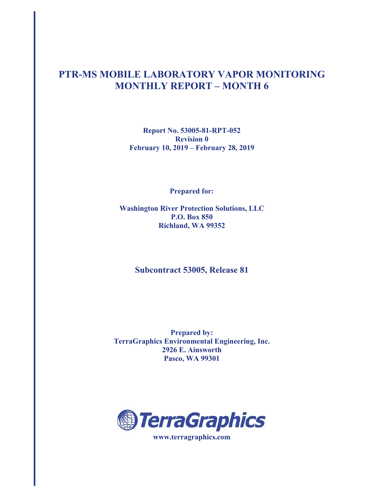## **PTR-MS MOBILE LABORATORY VAPOR MONITORING MONTHLY REPORT – MONTH 6**

**Report No. 53005-81-RPT-052 Revision 0 February 10, 2019 – February 28, 2019** 

**Prepared for:** 

**Washington River Protection Solutions, LLC P.O. Box 850 Richland, WA 99352** 

### **Subcontract 53005, Release 81**

**Prepared by: TerraGraphics Environmental Engineering, Inc. 2926 E. Ainsworth Pasco, WA 99301** 

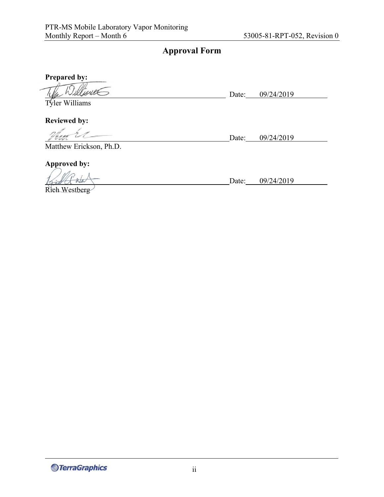## **Approval Form**

**Prepared by:** 

Date: 09/24/2019

Tyler Williams

**Reviewed by:** 

Date: 09/24/2019 Matthew Erickson, Ph.D.

**Approved by:** 

Rich Westberg

*<u>@TerraGraphics</u>* 

Date: 09/24/2019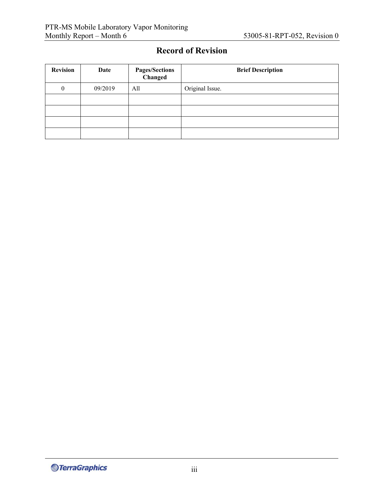## **Record of Revision**

| <b>Revision</b>  | Date    | <b>Pages/Sections</b><br>Changed | <b>Brief Description</b> |
|------------------|---------|----------------------------------|--------------------------|
| $\boldsymbol{0}$ | 09/2019 | All                              | Original Issue.          |
|                  |         |                                  |                          |
|                  |         |                                  |                          |
|                  |         |                                  |                          |
|                  |         |                                  |                          |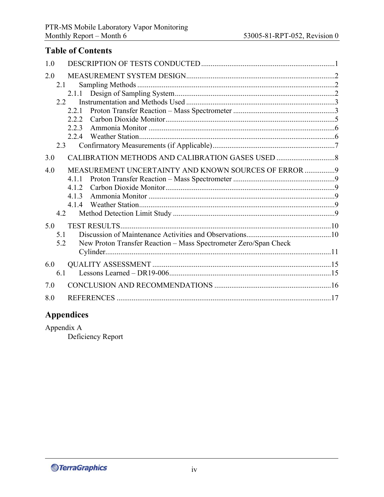## **Table of Contents**

| 1.0 |                                                                  |  |
|-----|------------------------------------------------------------------|--|
| 2.0 |                                                                  |  |
| 2.1 |                                                                  |  |
|     | 2.1.1                                                            |  |
|     | 2.2                                                              |  |
|     | 2.2.1                                                            |  |
|     | 2.2.2                                                            |  |
|     | 2.2.3                                                            |  |
|     | 2.2.4                                                            |  |
| 2.3 |                                                                  |  |
| 3.0 |                                                                  |  |
| 4.0 | MEASUREMENT UNCERTAINTY AND KNOWN SOURCES OF ERROR  9            |  |
|     | 4.1.1                                                            |  |
|     | 4.1.2                                                            |  |
|     | 4.1.3                                                            |  |
|     | 4.1.4                                                            |  |
| 4.2 |                                                                  |  |
| 5.0 |                                                                  |  |
| 5.1 |                                                                  |  |
| 5.2 | New Proton Transfer Reaction - Mass Spectrometer Zero/Span Check |  |
|     |                                                                  |  |
| 6.0 |                                                                  |  |
| 6.1 |                                                                  |  |
| 7.0 |                                                                  |  |
| 8.0 |                                                                  |  |

# **Appendices**

Appendix A Deficiency Report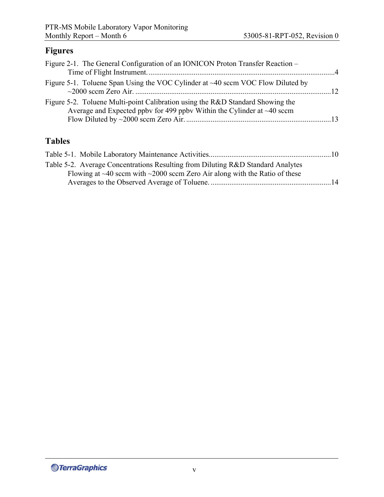## **Figures**

| Figure 2-1. The General Configuration of an IONICON Proton Transfer Reaction –                                                                              |  |
|-------------------------------------------------------------------------------------------------------------------------------------------------------------|--|
| Figure 5-1. Toluene Span Using the VOC Cylinder at $\sim$ 40 sccm VOC Flow Diluted by                                                                       |  |
| Figure 5-2. Toluene Multi-point Calibration using the R&D Standard Showing the<br>Average and Expected ppby for 499 ppby Within the Cylinder at $~140$ sccm |  |

# **Tables**

| Table 5-2. Average Concentrations Resulting from Diluting R&D Standard Analytes        |  |
|----------------------------------------------------------------------------------------|--|
| Flowing at $\sim$ 40 sccm with $\sim$ 2000 sccm Zero Air along with the Ratio of these |  |
|                                                                                        |  |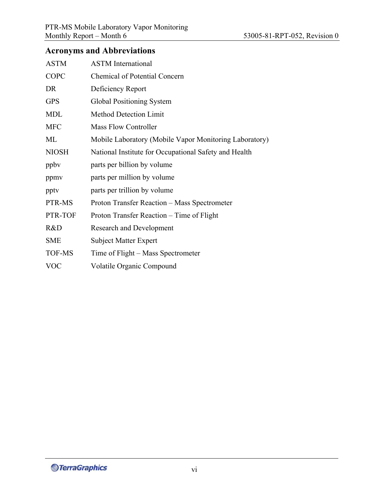## **Acronyms and Abbreviations**

| <b>ASTM</b>   | <b>ASTM</b> International                              |
|---------------|--------------------------------------------------------|
| COPC          | <b>Chemical of Potential Concern</b>                   |
| DR            | Deficiency Report                                      |
| <b>GPS</b>    | Global Positioning System                              |
| <b>MDL</b>    | <b>Method Detection Limit</b>                          |
| <b>MFC</b>    | Mass Flow Controller                                   |
| ML            | Mobile Laboratory (Mobile Vapor Monitoring Laboratory) |
| <b>NIOSH</b>  | National Institute for Occupational Safety and Health  |
| ppby          | parts per billion by volume                            |
| ppmv          | parts per million by volume                            |
| pptv          | parts per trillion by volume                           |
| PTR-MS        | Proton Transfer Reaction - Mass Spectrometer           |
| PTR-TOF       | Proton Transfer Reaction – Time of Flight              |
| R&D           | <b>Research and Development</b>                        |
| <b>SME</b>    | <b>Subject Matter Expert</b>                           |
| <b>TOF-MS</b> | Time of Flight – Mass Spectrometer                     |
| <b>VOC</b>    | Volatile Organic Compound                              |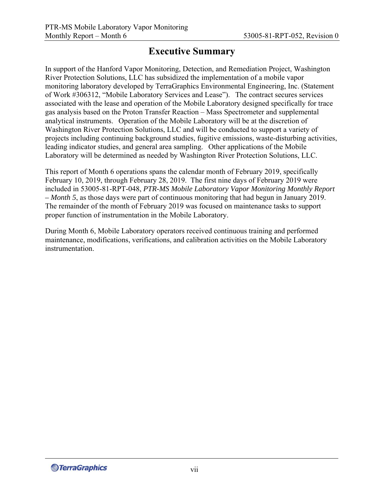# **Executive Summary**

In support of the Hanford Vapor Monitoring, Detection, and Remediation Project, Washington River Protection Solutions, LLC has subsidized the implementation of a mobile vapor monitoring laboratory developed by TerraGraphics Environmental Engineering, Inc. (Statement of Work #306312, "Mobile Laboratory Services and Lease").  The contract secures services associated with the lease and operation of the Mobile Laboratory designed specifically for trace gas analysis based on the Proton Transfer Reaction – Mass Spectrometer and supplemental analytical instruments.  Operation of the Mobile Laboratory will be at the discretion of Washington River Protection Solutions, LLC and will be conducted to support a variety of projects including continuing background studies, fugitive emissions, waste-disturbing activities, leading indicator studies, and general area sampling.  Other applications of the Mobile Laboratory will be determined as needed by Washington River Protection Solutions, LLC.

This report of Month 6 operations spans the calendar month of February 2019, specifically February 10, 2019, through February 28, 2019. The first nine days of February 2019 were included in 53005-81-RPT-048, *PTR-MS Mobile Laboratory Vapor Monitoring Monthly Report – Month 5*, as those days were part of continuous monitoring that had begun in January 2019. The remainder of the month of February 2019 was focused on maintenance tasks to support proper function of instrumentation in the Mobile Laboratory.

During Month 6, Mobile Laboratory operators received continuous training and performed maintenance, modifications, verifications, and calibration activities on the Mobile Laboratory instrumentation.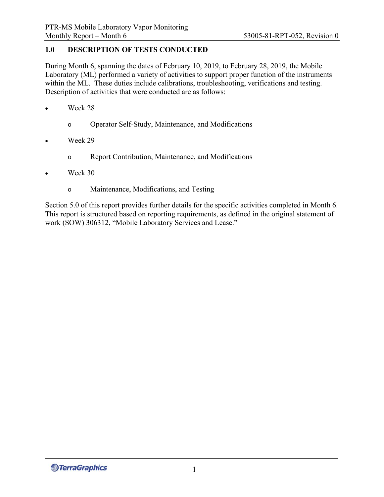## **1.0 DESCRIPTION OF TESTS CONDUCTED**

During Month 6, spanning the dates of February 10, 2019, to February 28, 2019, the Mobile Laboratory (ML) performed a variety of activities to support proper function of the instruments within the ML. These duties include calibrations, troubleshooting, verifications and testing. Description of activities that were conducted are as follows:

- Week 28
	- o Operator Self-Study, Maintenance, and Modifications
- Week 29
	- o Report Contribution, Maintenance, and Modifications
- Week 30
	- o Maintenance, Modifications, and Testing

Section 5.0 of this report provides further details for the specific activities completed in Month 6. This report is structured based on reporting requirements, as defined in the original statement of work (SOW) 306312, "Mobile Laboratory Services and Lease."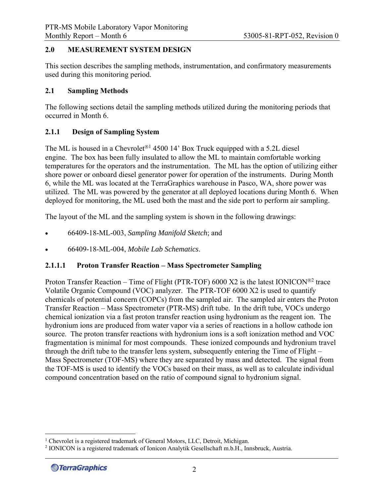#### **2.0 MEASUREMENT SYSTEM DESIGN**

This section describes the sampling methods, instrumentation, and confirmatory measurements used during this monitoring period.

#### **2.1 Sampling Methods**

The following sections detail the sampling methods utilized during the monitoring periods that occurred in Month 6.

### **2.1.1 Design of Sampling System**

The ML is housed in a Chevrolet<sup>®1</sup> 4500 14' Box Truck equipped with a 5.2L diesel engine. The box has been fully insulated to allow the ML to maintain comfortable working temperatures for the operators and the instrumentation. The ML has the option of utilizing either shore power or onboard diesel generator power for operation of the instruments. During Month 6, while the ML was located at the TerraGraphics warehouse in Pasco, WA, shore power was utilized. The ML was powered by the generator at all deployed locations during Month 6. When deployed for monitoring, the ML used both the mast and the side port to perform air sampling.

The layout of the ML and the sampling system is shown in the following drawings:

- 66409-18-ML-003, *Sampling Manifold Sketch*; and
- 66409-18-ML-004, *Mobile Lab Schematics*.

### **2.1.1.1 Proton Transfer Reaction – Mass Spectrometer Sampling**

Proton Transfer Reaction – Time of Flight (PTR-TOF) 6000 X2 is the latest IONICON<sup>®2</sup> trace Volatile Organic Compound (VOC) analyzer. The PTR-TOF 6000 X2 is used to quantify chemicals of potential concern (COPCs) from the sampled air. The sampled air enters the Proton Transfer Reaction – Mass Spectrometer (PTR-MS) drift tube. In the drift tube, VOCs undergo chemical ionization via a fast proton transfer reaction using hydronium as the reagent ion. The hydronium ions are produced from water vapor via a series of reactions in a hollow cathode ion source. The proton transfer reactions with hydronium ions is a soft ionization method and VOC fragmentation is minimal for most compounds. These ionized compounds and hydronium travel through the drift tube to the transfer lens system, subsequently entering the Time of Flight – Mass Spectrometer (TOF-MS) where they are separated by mass and detected. The signal from the TOF-MS is used to identify the VOCs based on their mass, as well as to calculate individual compound concentration based on the ratio of compound signal to hydronium signal.

<sup>&</sup>lt;sup>1</sup> Chevrolet is a registered trademark of General Motors, LLC, Detroit, Michigan.<br><sup>2</sup> IONICON is a registered trademark of Jonicon Analytik Gesellschaft m.h.H. Int

<sup>&</sup>lt;sup>2</sup> IONICON is a registered trademark of Ionicon Analytik Gesellschaft m.b.H., Innsbruck, Austria.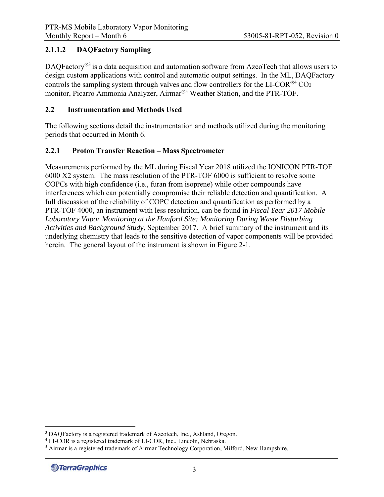## **2.1.1.2 DAQFactory Sampling**

DAQFactory<sup>®3</sup> is a data acquisition and automation software from AzeoTech that allows users to design custom applications with control and automatic output settings. In the ML, DAQFactory controls the sampling system through valves and flow controllers for the LI-COR<sup>®4</sup> CO<sub>2</sub> monitor, Picarro Ammonia Analyzer, Airmar®<sup>5</sup> Weather Station, and the PTR-TOF.

### **2.2 Instrumentation and Methods Used**

The following sections detail the instrumentation and methods utilized during the monitoring periods that occurred in Month 6.

## **2.2.1 Proton Transfer Reaction – Mass Spectrometer**

Measurements performed by the ML during Fiscal Year 2018 utilized the IONICON PTR-TOF 6000 X2 system. The mass resolution of the PTR-TOF 6000 is sufficient to resolve some COPCs with high confidence (i.e., furan from isoprene) while other compounds have interferences which can potentially compromise their reliable detection and quantification. A full discussion of the reliability of COPC detection and quantification as performed by a PTR-TOF 4000, an instrument with less resolution, can be found in *Fiscal Year 2017 Mobile Laboratory Vapor Monitoring at the Hanford Site: Monitoring During Waste Disturbing Activities and Background Study*, September 2017. A brief summary of the instrument and its underlying chemistry that leads to the sensitive detection of vapor components will be provided herein. The general layout of the instrument is shown in Figure 2-1.

<sup>&</sup>lt;sup>3</sup> DAQFactory is a registered trademark of Azeotech, Inc., Ashland, Oregon.<br><sup>4</sup> LLCOP is a registered trademark of LLCOP. Inc., Lincoln, Nebraska

<sup>&</sup>lt;sup>4</sup> LI-COR is a registered trademark of LI-COR, Inc., Lincoln, Nebraska.

<sup>&</sup>lt;sup>5</sup> Airmar is a registered trademark of Airmar Technology Corporation, Milford, New Hampshire.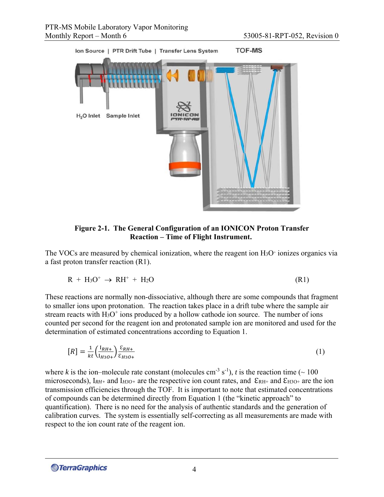

**Figure 2-1. The General Configuration of an IONICON Proton Transfer Reaction – Time of Flight Instrument.** 

The VOCs are measured by chemical ionization, where the reagent ion  $H_3O^+$  ionizes organics via a fast proton transfer reaction (R1).

$$
R + H_3O^+ \rightarrow RH^+ + H_2O \tag{R1}
$$

These reactions are normally non-dissociative, although there are some compounds that fragment to smaller ions upon protonation. The reaction takes place in a drift tube where the sample air stream reacts with  $H_3O^+$  ions produced by a hollow cathode ion source. The number of ions counted per second for the reagent ion and protonated sample ion are monitored and used for the determination of estimated concentrations according to Equation 1.

$$
[R] = \frac{1}{kt} \left( \frac{I_{RH+}}{I_{H3O+}} \right) \frac{\varepsilon_{RH+}}{\varepsilon_{H3O+}} \tag{1}
$$

where *k* is the ion–molecule rate constant (molecules cm<sup>-3</sup> s<sup>-1</sup>), *t* is the reaction time ( $\sim$  100 microseconds),  $I_{RH+}$  and  $I_{H3O+}$  are the respective ion count rates, and  $\mathcal{E}_{RH+}$  and  $\mathcal{E}_{H3O+}$  are the ion transmission efficiencies through the TOF. It is important to note that estimated concentrations of compounds can be determined directly from Equation 1 (the "kinetic approach" to quantification). There is no need for the analysis of authentic standards and the generation of calibration curves. The system is essentially self-correcting as all measurements are made with respect to the ion count rate of the reagent ion.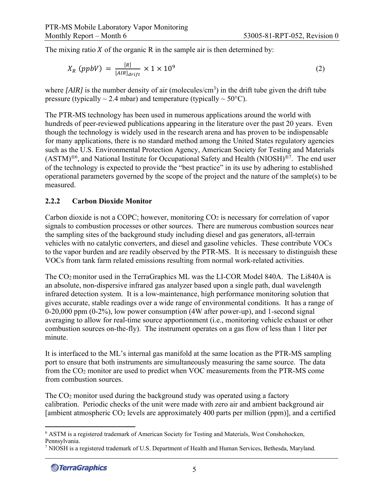The mixing ratio  $X$  of the organic  $R$  in the sample air is then determined by:

$$
X_R \ (ppbV) = \frac{[R]}{[AIR]_{drift}} \times 1 \times 10^9 \tag{2}
$$

where  $[AIR]$  is the number density of air (molecules/cm<sup>3</sup>) in the drift tube given the drift tube pressure (typically  $\sim$  2.4 mbar) and temperature (typically  $\sim$  50°C).

The PTR-MS technology has been used in numerous applications around the world with hundreds of peer-reviewed publications appearing in the literature over the past 20 years. Even though the technology is widely used in the research arena and has proven to be indispensable for many applications, there is no standard method among the United States regulatory agencies such as the U.S. Environmental Protection Agency, American Society for Testing and Materials  $(ASTM)<sup>®6</sup>$ , and National Institute for Occupational Safety and Health (NIOSH)<sup>®7</sup>. The end user of the technology is expected to provide the "best practice" in its use by adhering to established operational parameters governed by the scope of the project and the nature of the sample(s) to be measured.

#### **2.2.2 Carbon Dioxide Monitor**

Carbon dioxide is not a COPC; however, monitoring CO<sub>2</sub> is necessary for correlation of vapor signals to combustion processes or other sources. There are numerous combustion sources near the sampling sites of the background study including diesel and gas generators, all-terrain vehicles with no catalytic converters, and diesel and gasoline vehicles. These contribute VOCs to the vapor burden and are readily observed by the PTR-MS. It is necessary to distinguish these VOCs from tank farm related emissions resulting from normal work-related activities.

The CO2 monitor used in the TerraGraphics ML was the LI-COR Model 840A. The Li840A is an absolute, non-dispersive infrared gas analyzer based upon a single path, dual wavelength infrared detection system. It is a low-maintenance, high performance monitoring solution that gives accurate, stable readings over a wide range of environmental conditions. It has a range of 0-20,000 ppm (0-2%), low power consumption (4W after power-up), and 1-second signal averaging to allow for real-time source apportionment (i.e., monitoring vehicle exhaust or other combustion sources on-the-fly). The instrument operates on a gas flow of less than 1 liter per minute.

It is interfaced to the ML's internal gas manifold at the same location as the PTR-MS sampling port to ensure that both instruments are simultaneously measuring the same source. The data from the CO2 monitor are used to predict when VOC measurements from the PTR-MS come from combustion sources.

The CO2 monitor used during the background study was operated using a factory calibration. Periodic checks of the unit were made with zero air and ambient background air [ambient atmospheric  $CO<sub>2</sub>$  levels are approximately 400 parts per million (ppm)], and a certified

<sup>&</sup>lt;sup>6</sup> ASTM is a registered trademark of American Society for Testing and Materials, West Conshohocken, Pennsylvania.

<sup>7</sup> NIOSH is a registered trademark of U.S. Department of Health and Human Services, Bethesda, Maryland.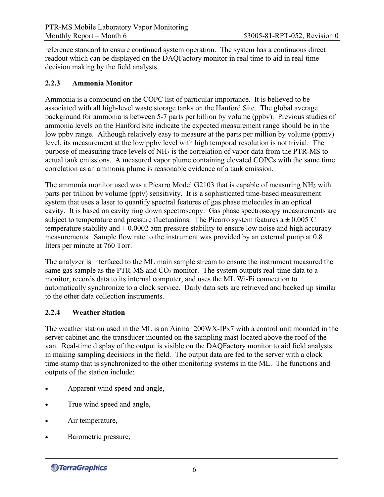reference standard to ensure continued system operation. The system has a continuous direct readout which can be displayed on the DAQFactory monitor in real time to aid in real-time decision making by the field analysts.

#### **2.2.3 Ammonia Monitor**

Ammonia is a compound on the COPC list of particular importance. It is believed to be associated with all high-level waste storage tanks on the Hanford Site. The global average background for ammonia is between 5-7 parts per billion by volume (ppbv). Previous studies of ammonia levels on the Hanford Site indicate the expected measurement range should be in the low ppbv range. Although relatively easy to measure at the parts per million by volume (ppmv) level, its measurement at the low ppbv level with high temporal resolution is not trivial. The purpose of measuring trace levels of NH3 is the correlation of vapor data from the PTR-MS to actual tank emissions. A measured vapor plume containing elevated COPCs with the same time correlation as an ammonia plume is reasonable evidence of a tank emission.

The ammonia monitor used was a Picarro Model G2103 that is capable of measuring NH3 with parts per trillion by volume (pptv) sensitivity. It is a sophisticated time-based measurement system that uses a laser to quantify spectral features of gas phase molecules in an optical cavity. It is based on cavity ring down spectroscopy. Gas phase spectroscopy measurements are subject to temperature and pressure fluctuations. The Picarro system features  $a \pm 0.005^{\circ}C$ temperature stability and  $\pm 0.0002$  atm pressure stability to ensure low noise and high accuracy measurements. Sample flow rate to the instrument was provided by an external pump at 0.8 liters per minute at 760 Torr.

The analyzer is interfaced to the ML main sample stream to ensure the instrument measured the same gas sample as the PTR-MS and CO<sub>2</sub> monitor. The system outputs real-time data to a monitor, records data to its internal computer, and uses the ML Wi-Fi connection to automatically synchronize to a clock service. Daily data sets are retrieved and backed up similar to the other data collection instruments.

### **2.2.4 Weather Station**

The weather station used in the ML is an Airmar 200WX-IPx7 with a control unit mounted in the server cabinet and the transducer mounted on the sampling mast located above the roof of the van. Real-time display of the output is visible on the DAQFactory monitor to aid field analysts in making sampling decisions in the field. The output data are fed to the server with a clock time-stamp that is synchronized to the other monitoring systems in the ML. The functions and outputs of the station include:

- Apparent wind speed and angle,
- True wind speed and angle,
- Air temperature,
- Barometric pressure,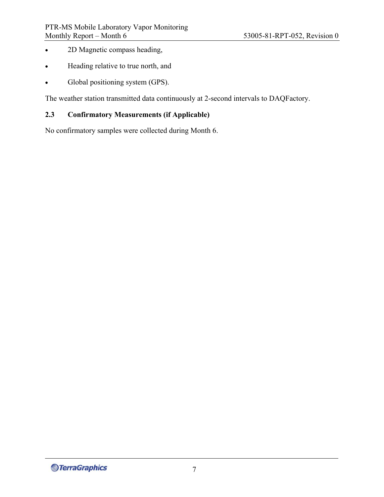- 2D Magnetic compass heading,
- Heading relative to true north, and
- Global positioning system (GPS).

The weather station transmitted data continuously at 2-second intervals to DAQFactory.

## **2.3 Confirmatory Measurements (if Applicable)**

No confirmatory samples were collected during Month 6.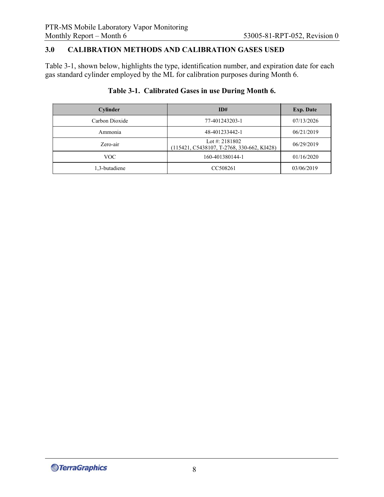## **3.0 CALIBRATION METHODS AND CALIBRATION GASES USED**

Table 3-1, shown below, highlights the type, identification number, and expiration date for each gas standard cylinder employed by the ML for calibration purposes during Month 6.

## **Table 3-1. Calibrated Gases in use During Month 6.**

| Cylinder       | ID#                                                            | <b>Exp. Date</b> |
|----------------|----------------------------------------------------------------|------------------|
| Carbon Dioxide | 77-401243203-1                                                 | 07/13/2026       |
| Ammonia        | 48-401233442-1                                                 | 06/21/2019       |
| Zero-air       | Lot #: $2181802$<br>(115421, C5438107, T-2768, 330-662, KI428) | 06/29/2019       |
| VOC.           | 160-401380144-1                                                | 01/16/2020       |
| 1.3-butadiene  | CC508261                                                       | 03/06/2019       |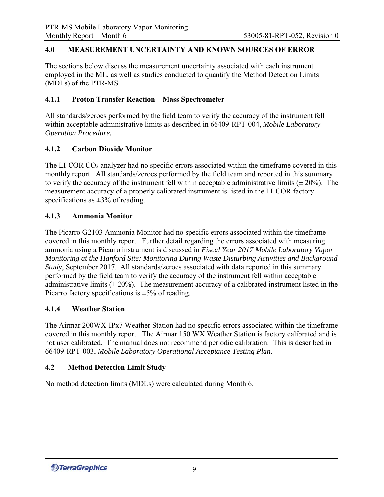#### **4.0 MEASUREMENT UNCERTAINTY AND KNOWN SOURCES OF ERROR**

The sections below discuss the measurement uncertainty associated with each instrument employed in the ML, as well as studies conducted to quantify the Method Detection Limits (MDLs) of the PTR-MS.

#### **4.1.1 Proton Transfer Reaction – Mass Spectrometer**

All standards/zeroes performed by the field team to verify the accuracy of the instrument fell within acceptable administrative limits as described in 66409-RPT-004, *Mobile Laboratory Operation Procedure.* 

#### **4.1.2 Carbon Dioxide Monitor**

The LI-COR CO2 analyzer had no specific errors associated within the timeframe covered in this monthly report. All standards/zeroes performed by the field team and reported in this summary to verify the accuracy of the instrument fell within acceptable administrative limits  $(\pm 20\%)$ . The measurement accuracy of a properly calibrated instrument is listed in the LI-COR factory specifications as  $\pm 3\%$  of reading.

#### **4.1.3 Ammonia Monitor**

The Picarro G2103 Ammonia Monitor had no specific errors associated within the timeframe covered in this monthly report. Further detail regarding the errors associated with measuring ammonia using a Picarro instrument is discussed in *Fiscal Year 2017 Mobile Laboratory Vapor Monitoring at the Hanford Site: Monitoring During Waste Disturbing Activities and Background Study*, September 2017. All standards/zeroes associated with data reported in this summary performed by the field team to verify the accuracy of the instrument fell within acceptable administrative limits  $(\pm 20\%)$ . The measurement accuracy of a calibrated instrument listed in the Picarro factory specifications is  $\pm 5\%$  of reading.

#### **4.1.4 Weather Station**

The Airmar 200WX-IPx7 Weather Station had no specific errors associated within the timeframe covered in this monthly report. The Airmar 150 WX Weather Station is factory calibrated and is not user calibrated. The manual does not recommend periodic calibration. This is described in 66409-RPT-003, *Mobile Laboratory Operational Acceptance Testing Plan*.

#### **4.2 Method Detection Limit Study**

No method detection limits (MDLs) were calculated during Month 6.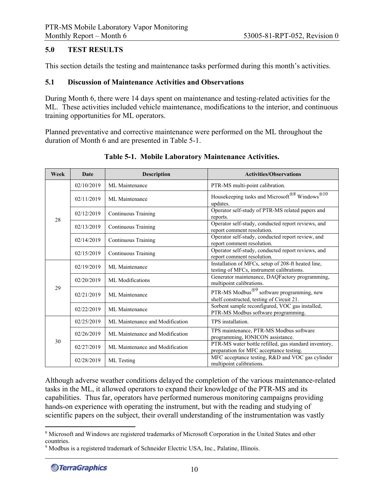#### **5.0 TEST RESULTS**

This section details the testing and maintenance tasks performed during this month's activities.

#### **5.1 Discussion of Maintenance Activities and Observations**

During Month 6, there were 14 days spent on maintenance and testing-related activities for the ML. These activities included vehicle maintenance, modifications to the interior, and continuous training opportunities for ML operators.

Planned preventative and corrective maintenance were performed on the ML throughout the duration of Month 6 and are presented in Table 5-1.

| Week | <b>Date</b> | <b>Description</b>              | <b>Activities/Observations</b>                                                                       |
|------|-------------|---------------------------------|------------------------------------------------------------------------------------------------------|
|      | 02/10/2019  | ML Maintenance                  | PTR-MS multi-point calibration.                                                                      |
|      | 02/11/2019  | ML Maintenance                  | Housekeeping tasks and Microsoft®8 Windows®10<br>updates.                                            |
| 28   | 02/12/2019  | Continuous Training             | Operator self-study of PTR-MS related papers and<br>reports.                                         |
|      | 02/13/2019  | Continuous Training             | Operator self-study, conducted report reviews, and<br>report comment resolution.                     |
|      | 02/14/2019  | Continuous Training             | Operator self-study, conducted report review, and<br>report comment resolution.                      |
|      | 02/15/2019  | Continuous Training             | Operator self-study, conducted report reviews, and<br>report comment resolution.                     |
|      | 02/19/2019  | ML Maintenance                  | Installation of MFCs, setup of 208-ft heated line,<br>testing of MFCs, instrument calibrations.      |
|      | 02/20/2019  | ML Modifications                | Generator maintenance, DAQFactory programming,<br>multipoint calibrations.                           |
| 29   | 02/21/2019  | ML Maintenance                  | PTR-MS Modbus $^{\circledR9}$ software programming, new<br>shelf constructed, testing of Circuit 21. |
|      | 02/22/2019  | ML Maintenance                  | Sorbent sample reconfigured, VOC gas installed,<br>PTR-MS Modbus software programming.               |
|      | 02/25/2019  | ML Maintenance and Modification | TPS installation.                                                                                    |
|      | 02/26/2019  | ML Maintenance and Modification | TPS maintenance, PTR-MS Modbus software<br>programming, IONICON assistance.                          |
| 30   | 02/27/2019  | ML Maintenance and Modification | PTR-MS water bottle refilled, gas standard inventory,<br>preparation for MFC acceptance testing.     |
|      | 02/28/2019  | ML Testing                      | MFC acceptance testing, R&D and VOC gas cylinder<br>multipoint calibrations.                         |

#### **Table 5-1. Mobile Laboratory Maintenance Activities.**

Although adverse weather conditions delayed the completion of the various maintenance-related tasks in the ML, it allowed operators to expand their knowledge of the PTR-MS and its capabilities. Thus far, operators have performed numerous monitoring campaigns providing hands-on experience with operating the instrument, but with the reading and studying of scientific papers on the subject, their overall understanding of the instrumentation was vastly

<sup>&</sup>lt;sup>8</sup> Microsoft and Windows are registered trademarks of Microsoft Corporation in the United States and other countries.

<sup>&</sup>lt;sup>9</sup> Modbus is a registered trademark of Schneider Electric USA, Inc., Palatine, Illinois.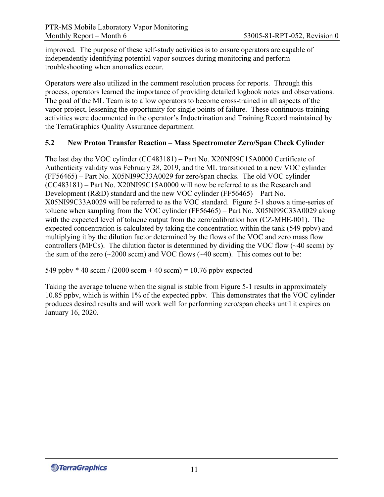improved. The purpose of these self-study activities is to ensure operators are capable of independently identifying potential vapor sources during monitoring and perform troubleshooting when anomalies occur.

Operators were also utilized in the comment resolution process for reports. Through this process, operators learned the importance of providing detailed logbook notes and observations. The goal of the ML Team is to allow operators to become cross-trained in all aspects of the vapor project, lessening the opportunity for single points of failure. These continuous training activities were documented in the operator's Indoctrination and Training Record maintained by the TerraGraphics Quality Assurance department.

### **5.2 New Proton Transfer Reaction – Mass Spectrometer Zero/Span Check Cylinder**

The last day the VOC cylinder (CC483181) – Part No. X20NI99C15A0000 Certificate of Authenticity validity was February 28, 2019, and the ML transitioned to a new VOC cylinder (FF56465) – Part No. X05NI99C33A0029 for zero/span checks. The old VOC cylinder (CC483181) – Part No. X20NI99C15A0000 will now be referred to as the Research and Development (R&D) standard and the new VOC cylinder (FF56465) – Part No. X05NI99C33A0029 will be referred to as the VOC standard. Figure 5-1 shows a time-series of toluene when sampling from the VOC cylinder (FF56465) – Part No. X05NI99C33A0029 along with the expected level of toluene output from the zero/calibration box (CZ-MHE-001). The expected concentration is calculated by taking the concentration within the tank (549 ppbv) and multiplying it by the dilution factor determined by the flows of the VOC and zero mass flow controllers (MFCs). The dilution factor is determined by dividing the VOC flow (~40 sccm) by the sum of the zero  $(\sim 2000 \text{ sccm})$  and VOC flows  $(\sim 40 \text{ sccm})$ . This comes out to be:

549 ppbv  $*$  40 sccm / (2000 sccm + 40 sccm) = 10.76 ppbv expected

Taking the average toluene when the signal is stable from Figure 5-1 results in approximately 10.85 ppbv, which is within 1% of the expected ppbv. This demonstrates that the VOC cylinder produces desired results and will work well for performing zero/span checks until it expires on January 16, 2020.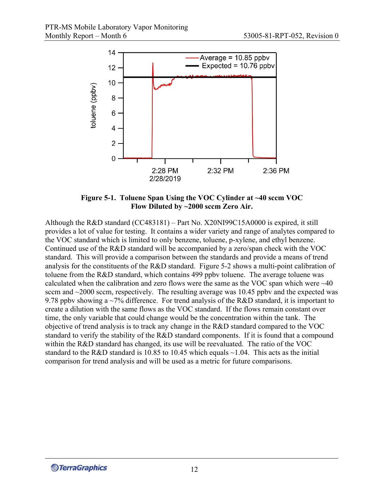

**Figure 5-1. Toluene Span Using the VOC Cylinder at ~40 sccm VOC Flow Diluted by ~2000 sccm Zero Air.** 

Although the R&D standard (CC483181) – Part No. X20NI99C15A0000 is expired, it still provides a lot of value for testing. It contains a wider variety and range of analytes compared to the VOC standard which is limited to only benzene, toluene, p-xylene, and ethyl benzene. Continued use of the R&D standard will be accompanied by a zero/span check with the VOC standard. This will provide a comparison between the standards and provide a means of trend analysis for the constituents of the R&D standard. Figure 5-2 shows a multi-point calibration of toluene from the R&D standard, which contains 499 ppbv toluene. The average toluene was calculated when the calibration and zero flows were the same as the VOC span which were ~40 sccm and ~2000 sccm, respectively. The resulting average was 10.45 ppbv and the expected was 9.78 ppby showing a  $\sim$ 7% difference. For trend analysis of the R&D standard, it is important to create a dilution with the same flows as the VOC standard. If the flows remain constant over time, the only variable that could change would be the concentration within the tank. The objective of trend analysis is to track any change in the R&D standard compared to the VOC standard to verify the stability of the R&D standard components. If it is found that a compound within the R&D standard has changed, its use will be reevaluated. The ratio of the VOC standard to the R&D standard is 10.85 to 10.45 which equals  $\sim$ 1.04. This acts as the initial comparison for trend analysis and will be used as a metric for future comparisons.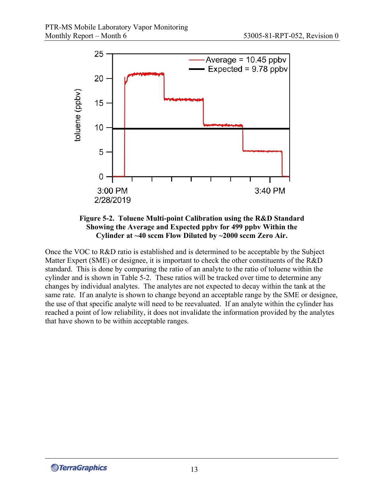



Once the VOC to R&D ratio is established and is determined to be acceptable by the Subject Matter Expert (SME) or designee, it is important to check the other constituents of the R&D standard. This is done by comparing the ratio of an analyte to the ratio of toluene within the cylinder and is shown in Table 5-2. These ratios will be tracked over time to determine any changes by individual analytes. The analytes are not expected to decay within the tank at the same rate. If an analyte is shown to change beyond an acceptable range by the SME or designee, the use of that specific analyte will need to be reevaluated. If an analyte within the cylinder has reached a point of low reliability, it does not invalidate the information provided by the analytes that have shown to be within acceptable ranges.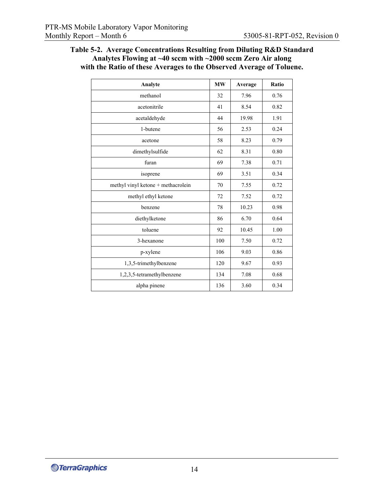| Table 5-2. Average Concentrations Resulting from Diluting R&D Standard  |
|-------------------------------------------------------------------------|
| Analytes Flowing at $\sim$ 40 sccm with $\sim$ 2000 sccm Zero Air along |
| with the Ratio of these Averages to the Observed Average of Toluene.    |

| Analyte                            | <b>MW</b> | Average | Ratio |
|------------------------------------|-----------|---------|-------|
| methanol                           | 32        | 7.96    | 0.76  |
| acetonitrile                       | 41        | 8.54    | 0.82  |
| acetaldehyde                       | 44        | 19.98   | 1.91  |
| 1-butene                           | 56        | 2.53    | 0.24  |
| acetone                            | 58        | 8.23    | 0.79  |
| dimethylsulfide                    | 62        | 8.31    | 0.80  |
| furan                              | 69        | 7.38    | 0.71  |
| isoprene                           | 69        | 3.51    | 0.34  |
| methyl vinyl ketone + methacrolein | 70        | 7.55    | 0.72  |
| methyl ethyl ketone                | 72        | 7.52    | 0.72  |
| benzene                            | 78        | 10.23   | 0.98  |
| diethylketone                      | 86        | 6.70    | 0.64  |
| toluene                            | 92        | 10.45   | 1.00  |
| 3-hexanone                         | 100       | 7.50    | 0.72  |
| p-xylene                           | 106       | 9.03    | 0.86  |
| 1,3,5-trimethylbenzene             | 120       | 9.67    | 0.93  |
| 1,2,3,5-tetramethylbenzene         | 134       | 7.08    | 0.68  |
| alpha pinene                       | 136       | 3.60    | 0.34  |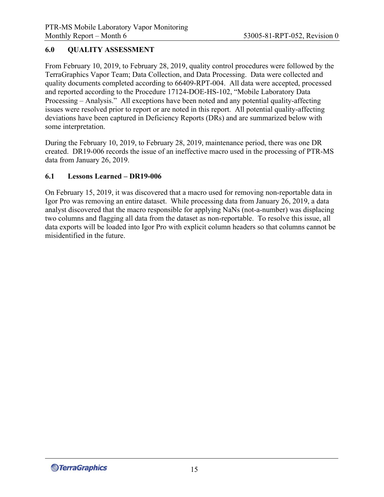## **6.0 QUALITY ASSESSMENT**

From February 10, 2019, to February 28, 2019, quality control procedures were followed by the TerraGraphics Vapor Team; Data Collection, and Data Processing. Data were collected and quality documents completed according to 66409-RPT-004. All data were accepted, processed and reported according to the Procedure 17124-DOE-HS-102, "Mobile Laboratory Data Processing – Analysis." All exceptions have been noted and any potential quality-affecting issues were resolved prior to report or are noted in this report. All potential quality-affecting deviations have been captured in Deficiency Reports (DRs) and are summarized below with some interpretation.

During the February 10, 2019, to February 28, 2019, maintenance period, there was one DR created. DR19-006 records the issue of an ineffective macro used in the processing of PTR-MS data from January 26, 2019.

#### **6.1 Lessons Learned – DR19-006**

On February 15, 2019, it was discovered that a macro used for removing non-reportable data in Igor Pro was removing an entire dataset. While processing data from January 26, 2019, a data analyst discovered that the macro responsible for applying NaNs (not-a-number) was displacing two columns and flagging all data from the dataset as non-reportable. To resolve this issue, all data exports will be loaded into Igor Pro with explicit column headers so that columns cannot be misidentified in the future.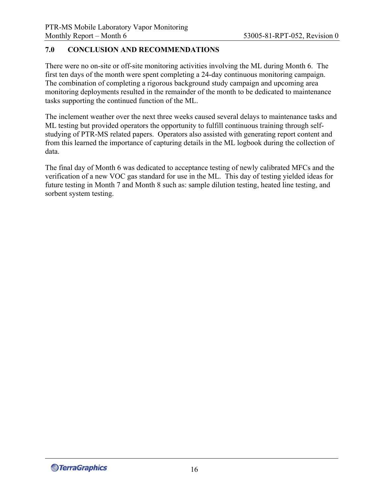## **7.0 CONCLUSION AND RECOMMENDATIONS**

There were no on-site or off-site monitoring activities involving the ML during Month 6. The first ten days of the month were spent completing a 24-day continuous monitoring campaign. The combination of completing a rigorous background study campaign and upcoming area monitoring deployments resulted in the remainder of the month to be dedicated to maintenance tasks supporting the continued function of the ML.

The inclement weather over the next three weeks caused several delays to maintenance tasks and ML testing but provided operators the opportunity to fulfill continuous training through selfstudying of PTR-MS related papers. Operators also assisted with generating report content and from this learned the importance of capturing details in the ML logbook during the collection of data.

The final day of Month 6 was dedicated to acceptance testing of newly calibrated MFCs and the verification of a new VOC gas standard for use in the ML. This day of testing yielded ideas for future testing in Month 7 and Month 8 such as: sample dilution testing, heated line testing, and sorbent system testing.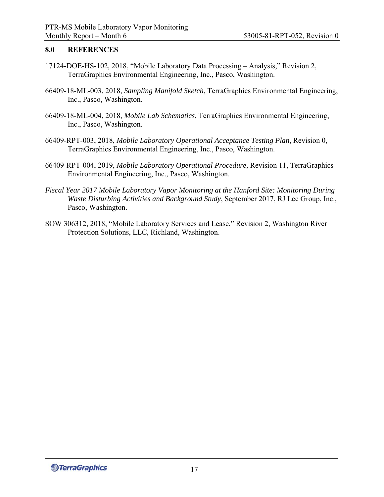#### **8.0 REFERENCES**

- 17124-DOE-HS-102, 2018, "Mobile Laboratory Data Processing Analysis," Revision 2, TerraGraphics Environmental Engineering, Inc., Pasco, Washington.
- 66409-18-ML-003, 2018, *Sampling Manifold Sketch*, TerraGraphics Environmental Engineering, Inc., Pasco, Washington.
- 66409-18-ML-004, 2018, *Mobile Lab Schematics*, TerraGraphics Environmental Engineering, Inc., Pasco, Washington.
- 66409-RPT-003, 2018, *Mobile Laboratory Operational Acceptance Testing Plan*, Revision 0, TerraGraphics Environmental Engineering, Inc., Pasco, Washington.
- 66409-RPT-004, 2019, *Mobile Laboratory Operational Procedure,* Revision 11, TerraGraphics Environmental Engineering, Inc., Pasco, Washington.
- *Fiscal Year 2017 Mobile Laboratory Vapor Monitoring at the Hanford Site: Monitoring During Waste Disturbing Activities and Background Study*, September 2017, RJ Lee Group, Inc., Pasco, Washington.
- SOW 306312, 2018, "Mobile Laboratory Services and Lease," Revision 2, Washington River Protection Solutions, LLC, Richland, Washington.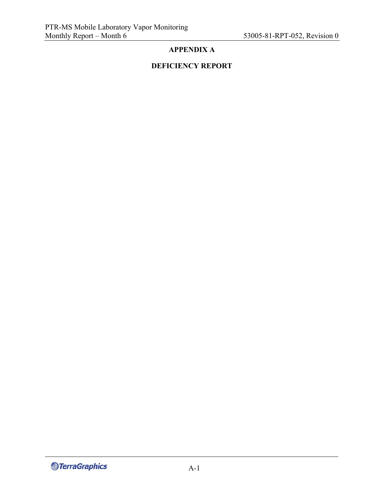## **APPENDIX A**

## **DEFICIENCY REPORT**

**S**TerraGraphics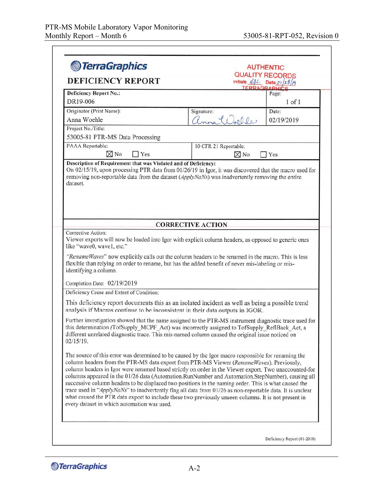| <b>DEFICIENCY REPORT</b>                                                      | <b>QUALITY RECORDS</b>                                                                                                                                                                                                                                                                                          |
|-------------------------------------------------------------------------------|-----------------------------------------------------------------------------------------------------------------------------------------------------------------------------------------------------------------------------------------------------------------------------------------------------------------|
|                                                                               | Initials $\sqrt{1}$ Date $\frac{\partial 1}{\partial \beta}$<br>TERRAGRAPHIC                                                                                                                                                                                                                                    |
| <b>Deficiency Report No.:</b>                                                 | Page:                                                                                                                                                                                                                                                                                                           |
| DR19-006                                                                      | $1$ of $1$                                                                                                                                                                                                                                                                                                      |
| Originator (Print Name):<br>Anna Woehle                                       | Signature:<br>Date:<br>anna Woehle<br>02/19/2019                                                                                                                                                                                                                                                                |
| Project No./Title:                                                            |                                                                                                                                                                                                                                                                                                                 |
| 53005-81 PTR-MS Data Processing                                               |                                                                                                                                                                                                                                                                                                                 |
| PAAA Reportable:                                                              | 10 CFR 21 Reportable:                                                                                                                                                                                                                                                                                           |
| $\boxtimes$ No<br>$\exists$ Yes                                               | $\boxtimes$ No<br>Yes                                                                                                                                                                                                                                                                                           |
|                                                                               |                                                                                                                                                                                                                                                                                                                 |
|                                                                               | <b>CORRECTIVE ACTION</b>                                                                                                                                                                                                                                                                                        |
| Corrective Action:<br>like "wave0, wave1, etc."<br>identifying a column.      | Viewer exports will now be loaded into Igor with explicit column headers, as opposed to generic ones<br>"RenameWaves" now explicitly calls out the column headers to be renamed in the macro. This is less<br>flexible than relying on order to rename, but has the added benefit of never mis-labeling or mis- |
|                                                                               |                                                                                                                                                                                                                                                                                                                 |
| Completion Date: 02/19/2019<br>Deficiency Cause and Extent of Condition:      |                                                                                                                                                                                                                                                                                                                 |
| analysis if Macros continue to be inconsistent in their data outputs in IGOR. | This deficiency report documents this as an isolated incident as well as being a possible trend                                                                                                                                                                                                                 |
| 02/15/19.                                                                     | Further investigation showed that the name assigned to the PTR-MS instrument diagnostic trace used for<br>this determination (TofSupply_MCPF Act) was incorrectly assigned to TofSupply ReflBack Act, a<br>different unrelated diagnostic trace. This mis-named column caused the original issue noticed on     |